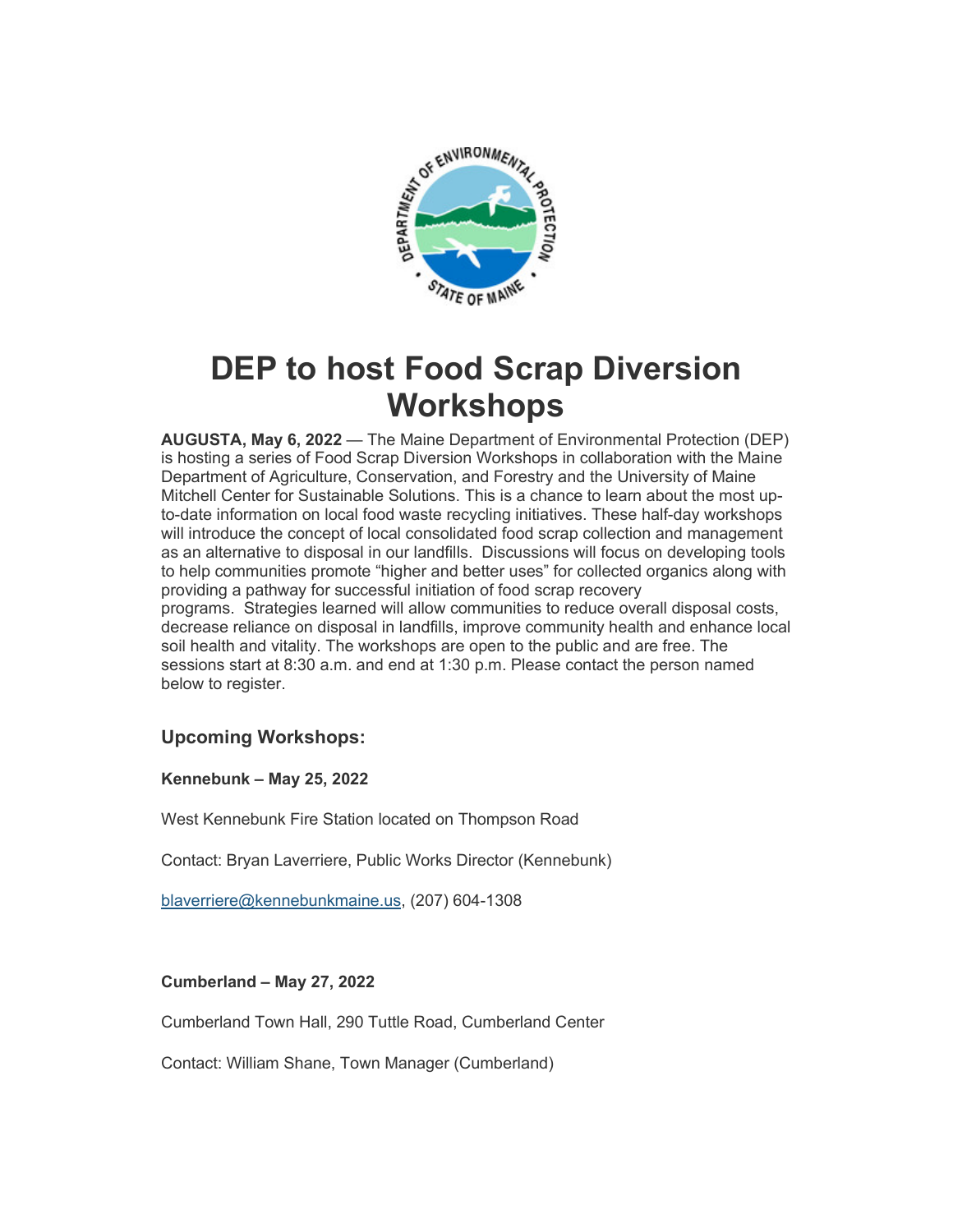

# **DEP to host Food Scrap Diversion Workshops**

**AUGUSTA, May 6, 2022** — The Maine Department of Environmental Protection (DEP) is hosting a series of Food Scrap Diversion Workshops in collaboration with the Maine Department of Agriculture, Conservation, and Forestry and the University of Maine Mitchell Center for Sustainable Solutions. This is a chance to learn about the most upto-date information on local food waste recycling initiatives. These half-day workshops will introduce the concept of local consolidated food scrap collection and management as an alternative to disposal in our landfills. Discussions will focus on developing tools to help communities promote "higher and better uses" for collected organics along with providing a pathway for successful initiation of food scrap recovery programs. Strategies learned will allow communities to reduce overall disposal costs, decrease reliance on disposal in landfills, improve community health and enhance local soil health and vitality. The workshops are open to the public and are free. The sessions start at 8:30 a.m. and end at 1:30 p.m. Please contact the person named below to register.

## **Upcoming Workshops:**

**Kennebunk – May 25, 2022**

West Kennebunk Fire Station located on Thompson Road

Contact: Bryan Laverriere, Public Works Director (Kennebunk)

[blaverriere@kennebunkmaine.us,](mailto:blaverriere@kennebunkmaine.us) (207) 604-1308

### **Cumberland – May 27, 2022**

Cumberland Town Hall, 290 Tuttle Road, Cumberland Center

Contact: William Shane, Town Manager (Cumberland)